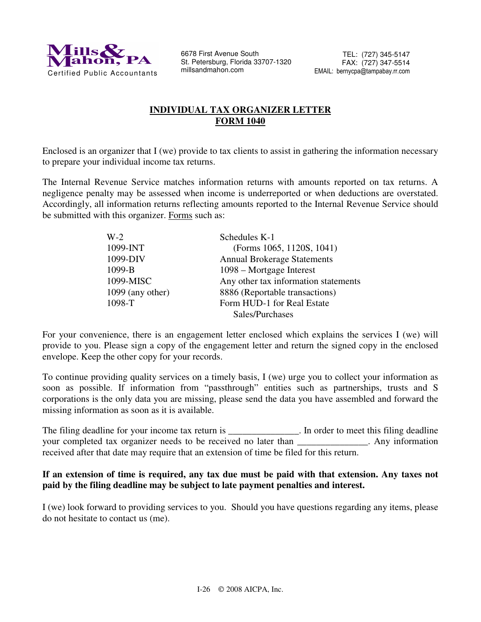

6678 First Avenue South St. Petersburg, Florida 33707-1320 millsandmahon.com

# **INDIVIDUAL TAX ORGANIZER LETTER FORM 1040**

Enclosed is an organizer that I (we) provide to tax clients to assist in gathering the information necessary to prepare your individual income tax returns.

The Internal Revenue Service matches information returns with amounts reported on tax returns. A negligence penalty may be assessed when income is underreported or when deductions are overstated. Accordingly, all information returns reflecting amounts reported to the Internal Revenue Service should be submitted with this organizer. Forms such as:

| $W-2$              | Schedules K-1                        |
|--------------------|--------------------------------------|
| 1099-INT           | (Forms 1065, 1120S, 1041)            |
| 1099-DIV           | <b>Annual Brokerage Statements</b>   |
| 1099-B             | 1098 – Mortgage Interest             |
| 1099-MISC          | Any other tax information statements |
| $1099$ (any other) | 8886 (Reportable transactions)       |
| 1098-T             | Form HUD-1 for Real Estate           |
|                    | Sales/Purchases                      |

For your convenience, there is an engagement letter enclosed which explains the services I (we) will provide to you. Please sign a copy of the engagement letter and return the signed copy in the enclosed envelope. Keep the other copy for your records.

To continue providing quality services on a timely basis, I (we) urge you to collect your information as soon as possible. If information from "passthrough" entities such as partnerships, trusts and S corporations is the only data you are missing, please send the data you have assembled and forward the missing information as soon as it is available.

The filing deadline for your income tax return is \_\_\_\_\_\_\_\_\_\_\_\_\_\_\_. In order to meet this filing deadline your completed tax organizer needs to be received no later than \_\_\_\_\_\_\_\_\_\_\_\_\_\_\_. Any information received after that date may require that an extension of time be filed for this return.

# **If an extension of time is required, any tax due must be paid with that extension. Any taxes not paid by the filing deadline may be subject to late payment penalties and interest.**

I (we) look forward to providing services to you. Should you have questions regarding any items, please do not hesitate to contact us (me).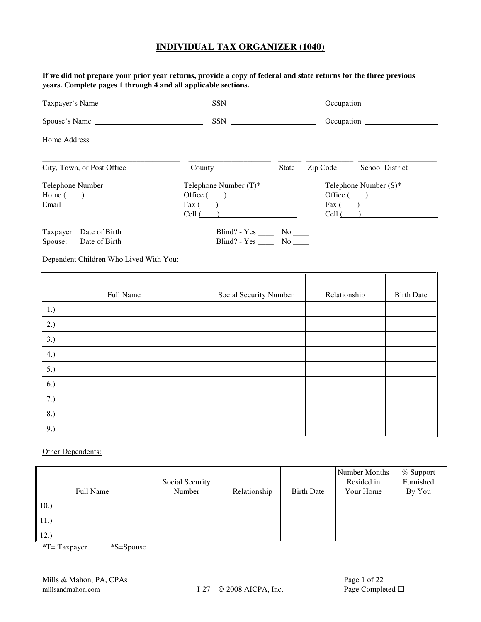**If we did not prepare your prior year returns, provide a copy of federal and state returns for the three previous years. Complete pages 1 through 4 and all applicable sections.** 

| Taxpayer's Name                                                                                                                                                                                                               |                                                |              |          | Occupation               |
|-------------------------------------------------------------------------------------------------------------------------------------------------------------------------------------------------------------------------------|------------------------------------------------|--------------|----------|--------------------------|
| Spouse's Name                                                                                                                                                                                                                 | $SSN \qquad \qquad \underline{\qquad \qquad }$ |              |          |                          |
|                                                                                                                                                                                                                               |                                                |              |          |                          |
| City, Town, or Post Office                                                                                                                                                                                                    | County                                         | <b>State</b> | Zip Code | <b>School District</b>   |
| Telephone Number                                                                                                                                                                                                              | Telephone Number $(T)^*$                       |              |          | Telephone Number $(S)^*$ |
| $Home($ $)$                                                                                                                                                                                                                   | Office( )                                      |              |          | Office $($ $)$           |
| Email and the contract of the contract of the contract of the contract of the contract of the contract of the contract of the contract of the contract of the contract of the contract of the contract of the contract of the | Fax $($                                        |              |          | $\text{Fax}$ ( )         |
|                                                                                                                                                                                                                               | $Cell$ ( )                                     |              |          | $Cell$ ( )               |
| Taxpayer: Date of Birth                                                                                                                                                                                                       | Blind? - $Yes \_\_\_\_\_\$ No $\_\_\_\_\$      |              |          |                          |
| Spouse: Date of Birth                                                                                                                                                                                                         | Blind? - $Yes \_\_\_\_$ No $\_\_\_\$           |              |          |                          |

Dependent Children Who Lived With You:

| Full Name | Social Security Number | Relationship | <b>Birth Date</b> |
|-----------|------------------------|--------------|-------------------|
| 1.)       |                        |              |                   |
| 2.)       |                        |              |                   |
| 3.)       |                        |              |                   |
| 4.)       |                        |              |                   |
| 5.)       |                        |              |                   |
| 6.)       |                        |              |                   |
| 7.)       |                        |              |                   |
| 8.)       |                        |              |                   |
| 9.)       |                        |              |                   |

Other Dependents:

|           | Social Security |              |                   | Number Months<br>Resided in | % Support<br>Furnished |
|-----------|-----------------|--------------|-------------------|-----------------------------|------------------------|
| Full Name | Number          | Relationship | <b>Birth Date</b> | Your Home                   | By You                 |
| 10.       |                 |              |                   |                             |                        |
| 11.       |                 |              |                   |                             |                        |
| (12.)     |                 |              |                   |                             |                        |

\*T= Taxpayer \*S=Spouse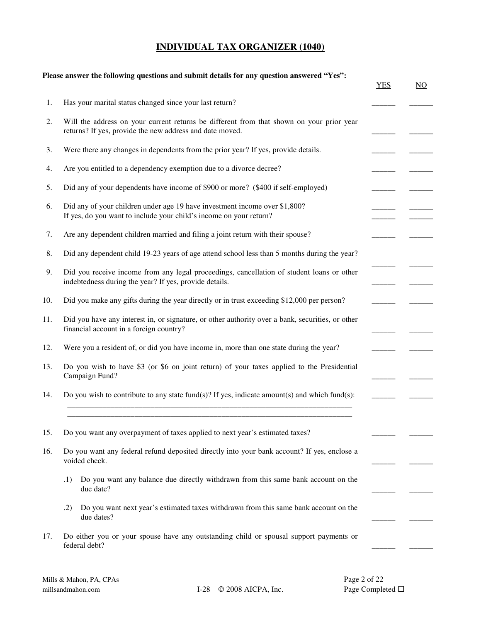|     | Please answer the following questions and submit details for any question answered "Yes":                                                            | <b>YES</b> |
|-----|------------------------------------------------------------------------------------------------------------------------------------------------------|------------|
|     | Has your marital status changed since your last return?                                                                                              |            |
|     | Will the address on your current returns be different from that shown on your prior year<br>returns? If yes, provide the new address and date moved. |            |
|     | Were there any changes in dependents from the prior year? If yes, provide details.                                                                   |            |
|     | Are you entitled to a dependency exemption due to a divorce decree?                                                                                  |            |
|     | Did any of your dependents have income of \$900 or more? (\$400 if self-employed)                                                                    |            |
|     | Did any of your children under age 19 have investment income over \$1,800?<br>If yes, do you want to include your child's income on your return?     |            |
|     | Are any dependent children married and filing a joint return with their spouse?                                                                      |            |
|     | Did any dependent child 19-23 years of age attend school less than 5 months during the year?                                                         |            |
|     | Did you receive income from any legal proceedings, cancellation of student loans or other<br>indebtedness during the year? If yes, provide details.  |            |
|     | Did you make any gifts during the year directly or in trust exceeding \$12,000 per person?                                                           |            |
|     | Did you have any interest in, or signature, or other authority over a bank, securities, or other<br>financial account in a foreign country?          |            |
|     | Were you a resident of, or did you have income in, more than one state during the year?                                                              |            |
|     | Do you wish to have \$3 (or \$6 on joint return) of your taxes applied to the Presidential<br>Campaign Fund?                                         |            |
|     | Do you wish to contribute to any state fund(s)? If yes, indicate amount(s) and which fund(s):                                                        |            |
|     | Do you want any overpayment of taxes applied to next year's estimated taxes?                                                                         |            |
|     | Do you want any federal refund deposited directly into your bank account? If yes, enclose a<br>voided check.                                         |            |
| .1) | Do you want any balance due directly withdrawn from this same bank account on the<br>due date?                                                       |            |
| .2) | Do you want next year's estimated taxes withdrawn from this same bank account on the<br>due dates?                                                   |            |
|     | Do either you or your spouse have any outstanding child or spousal support payments or<br>federal debt?                                              |            |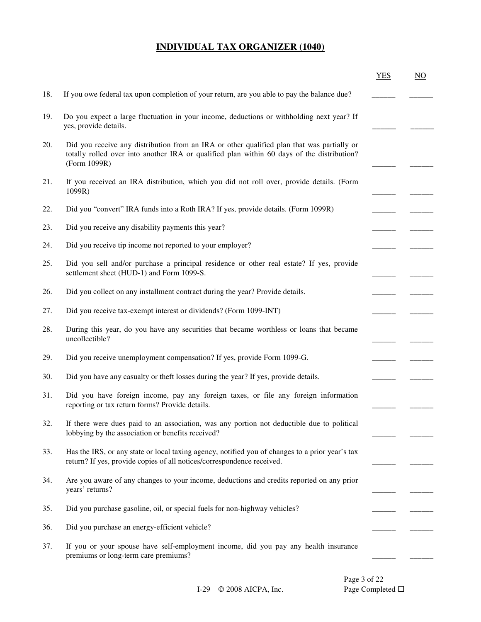|     |                                                                                                                                                                                                          | <b>YES</b> | $\underline{NO}$ |
|-----|----------------------------------------------------------------------------------------------------------------------------------------------------------------------------------------------------------|------------|------------------|
| 18. | If you owe federal tax upon completion of your return, are you able to pay the balance due?                                                                                                              |            |                  |
| 19. | Do you expect a large fluctuation in your income, deductions or withholding next year? If<br>yes, provide details.                                                                                       |            |                  |
| 20. | Did you receive any distribution from an IRA or other qualified plan that was partially or<br>totally rolled over into another IRA or qualified plan within 60 days of the distribution?<br>(Form 1099R) |            |                  |
| 21. | If you received an IRA distribution, which you did not roll over, provide details. (Form<br>1099R)                                                                                                       |            |                  |
| 22. | Did you "convert" IRA funds into a Roth IRA? If yes, provide details. (Form 1099R)                                                                                                                       |            |                  |
| 23. | Did you receive any disability payments this year?                                                                                                                                                       |            |                  |
| 24. | Did you receive tip income not reported to your employer?                                                                                                                                                |            |                  |
| 25. | Did you sell and/or purchase a principal residence or other real estate? If yes, provide<br>settlement sheet (HUD-1) and Form 1099-S.                                                                    |            |                  |
| 26. | Did you collect on any installment contract during the year? Provide details.                                                                                                                            |            |                  |
| 27. | Did you receive tax-exempt interest or dividends? (Form 1099-INT)                                                                                                                                        |            |                  |
| 28. | During this year, do you have any securities that became worthless or loans that became<br>uncollectible?                                                                                                |            |                  |
| 29. | Did you receive unemployment compensation? If yes, provide Form 1099-G.                                                                                                                                  |            |                  |
| 30. | Did you have any casualty or theft losses during the year? If yes, provide details.                                                                                                                      |            |                  |
| 31. | Did you have foreign income, pay any foreign taxes, or file any foreign information<br>reporting or tax return forms? Provide details.                                                                   |            |                  |
| 32. | If there were dues paid to an association, was any portion not deductible due to political<br>lobbying by the association or benefits received?                                                          |            |                  |
| 33. | Has the IRS, or any state or local taxing agency, notified you of changes to a prior year's tax<br>return? If yes, provide copies of all notices/correspondence received.                                |            |                  |
| 34. | Are you aware of any changes to your income, deductions and credits reported on any prior<br>years' returns?                                                                                             |            |                  |
| 35. | Did you purchase gasoline, oil, or special fuels for non-highway vehicles?                                                                                                                               |            |                  |
| 36. | Did you purchase an energy-efficient vehicle?                                                                                                                                                            |            |                  |
| 37. | If you or your spouse have self-employment income, did you pay any health insurance<br>premiums or long-term care premiums?                                                                              |            |                  |
|     |                                                                                                                                                                                                          |            |                  |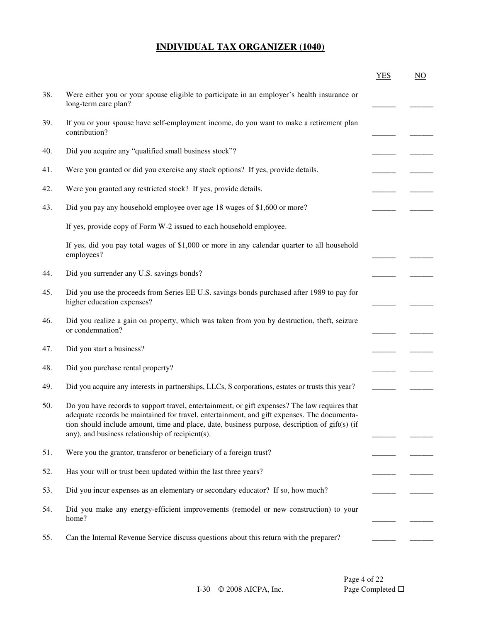|     |                                                                                                                                                                                                                                                                                                                                                    | <b>YES</b> | NO |
|-----|----------------------------------------------------------------------------------------------------------------------------------------------------------------------------------------------------------------------------------------------------------------------------------------------------------------------------------------------------|------------|----|
| 38. | Were either you or your spouse eligible to participate in an employer's health insurance or<br>long-term care plan?                                                                                                                                                                                                                                |            |    |
| 39. | If you or your spouse have self-employment income, do you want to make a retirement plan<br>contribution?                                                                                                                                                                                                                                          |            |    |
| 40. | Did you acquire any "qualified small business stock"?                                                                                                                                                                                                                                                                                              |            |    |
| 41. | Were you granted or did you exercise any stock options? If yes, provide details.                                                                                                                                                                                                                                                                   |            |    |
| 42. | Were you granted any restricted stock? If yes, provide details.                                                                                                                                                                                                                                                                                    |            |    |
| 43. | Did you pay any household employee over age 18 wages of \$1,600 or more?                                                                                                                                                                                                                                                                           |            |    |
|     | If yes, provide copy of Form W-2 issued to each household employee.                                                                                                                                                                                                                                                                                |            |    |
|     | If yes, did you pay total wages of \$1,000 or more in any calendar quarter to all household<br>employees?                                                                                                                                                                                                                                          |            |    |
| 44. | Did you surrender any U.S. savings bonds?                                                                                                                                                                                                                                                                                                          |            |    |
| 45. | Did you use the proceeds from Series EE U.S. savings bonds purchased after 1989 to pay for<br>higher education expenses?                                                                                                                                                                                                                           |            |    |
| 46. | Did you realize a gain on property, which was taken from you by destruction, theft, seizure<br>or condemnation?                                                                                                                                                                                                                                    |            |    |
| 47. | Did you start a business?                                                                                                                                                                                                                                                                                                                          |            |    |
| 48. | Did you purchase rental property?                                                                                                                                                                                                                                                                                                                  |            |    |
| 49. | Did you acquire any interests in partnerships, LLCs, S corporations, estates or trusts this year?                                                                                                                                                                                                                                                  |            |    |
| 50. | Do you have records to support travel, entertainment, or gift expenses? The law requires that<br>adequate records be maintained for travel, entertainment, and gift expenses. The documenta-<br>tion should include amount, time and place, date, business purpose, description of gift(s) (if<br>any), and business relationship of recipient(s). |            |    |
| 51. | Were you the grantor, transferor or beneficiary of a foreign trust?                                                                                                                                                                                                                                                                                |            |    |
| 52. | Has your will or trust been updated within the last three years?                                                                                                                                                                                                                                                                                   |            |    |
| 53. | Did you incur expenses as an elementary or secondary educator? If so, how much?                                                                                                                                                                                                                                                                    |            |    |
| 54. | Did you make any energy-efficient improvements (remodel or new construction) to your<br>home?                                                                                                                                                                                                                                                      |            |    |
| 55. | Can the Internal Revenue Service discuss questions about this return with the preparer?                                                                                                                                                                                                                                                            |            |    |

Page 4 of 22 <br>Page Completed  $\Box$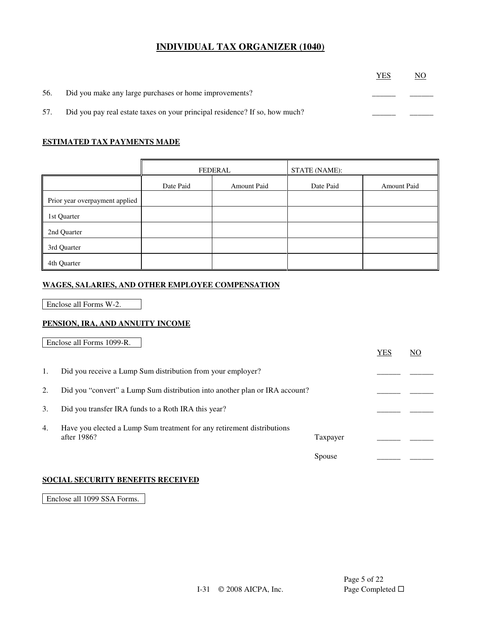|     |                                                                             | YES | NO |
|-----|-----------------------------------------------------------------------------|-----|----|
| 56. | Did you make any large purchases or home improvements?                      |     |    |
| 57. | Did you pay real estate taxes on your principal residence? If so, how much? |     |    |

### **ESTIMATED TAX PAYMENTS MADE**

|                                | FEDERAL   |             | <b>STATE (NAME):</b> |                    |
|--------------------------------|-----------|-------------|----------------------|--------------------|
|                                | Date Paid | Amount Paid | Date Paid            | <b>Amount Paid</b> |
| Prior year overpayment applied |           |             |                      |                    |
| 1st Quarter                    |           |             |                      |                    |
| 2nd Quarter                    |           |             |                      |                    |
| 3rd Quarter                    |           |             |                      |                    |
| 4th Quarter                    |           |             |                      |                    |

### **WAGES, SALARIES, AND OTHER EMPLOYEE COMPENSATION**

Enclose all Forms W-2.

### **PENSION, IRA, AND ANNUITY INCOME**

Enclose all Forms 1099-R.

|    |                                                                                       |          | <b>YES</b> | NO |
|----|---------------------------------------------------------------------------------------|----------|------------|----|
| 1. | Did you receive a Lump Sum distribution from your employer?                           |          |            |    |
| 2. | Did you "convert" a Lump Sum distribution into another plan or IRA account?           |          |            |    |
| 3. | Did you transfer IRA funds to a Roth IRA this year?                                   |          |            |    |
| 4. | Have you elected a Lump Sum treatment for any retirement distributions<br>after 1986? | Taxpayer |            |    |
|    |                                                                                       | Spouse   |            |    |

### **SOCIAL SECURITY BENEFITS RECEIVED**

Enclose all 1099 SSA Forms.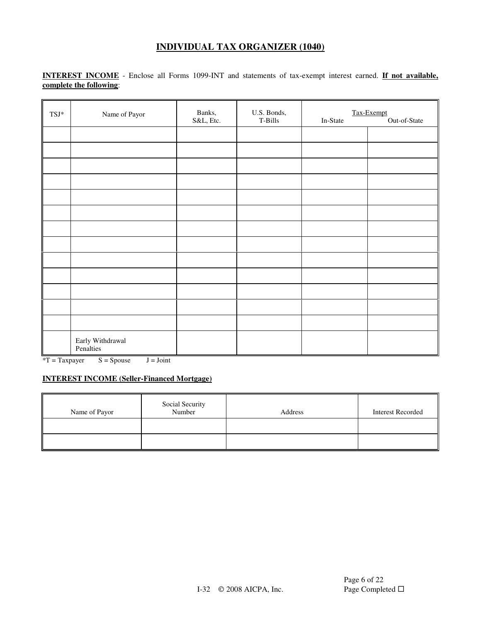**INTEREST INCOME** - Enclose all Forms 1099-INT and statements of tax-exempt interest earned. **If not available, complete the following**:

| $\ensuremath{\mathsf{T}}\ensuremath{\mathsf{S}}\ensuremath{\mathsf{J}}^*$ | Name of Payor                 | Banks,<br>S&L, Etc. | U.S. Bonds,<br>$T-Bills$ | In-State | Tax-Exempt<br>Out-of-State |
|---------------------------------------------------------------------------|-------------------------------|---------------------|--------------------------|----------|----------------------------|
|                                                                           |                               |                     |                          |          |                            |
|                                                                           |                               |                     |                          |          |                            |
|                                                                           |                               |                     |                          |          |                            |
|                                                                           |                               |                     |                          |          |                            |
|                                                                           |                               |                     |                          |          |                            |
|                                                                           |                               |                     |                          |          |                            |
|                                                                           |                               |                     |                          |          |                            |
|                                                                           |                               |                     |                          |          |                            |
|                                                                           |                               |                     |                          |          |                            |
|                                                                           |                               |                     |                          |          |                            |
|                                                                           |                               |                     |                          |          |                            |
|                                                                           |                               |                     |                          |          |                            |
|                                                                           |                               |                     |                          |          |                            |
|                                                                           | Early Withdrawal<br>Penalties |                     |                          |          |                            |

 $*T = Taxpayer$   $S = Spouse$   $J = Joint$ 

### **INTEREST INCOME (Seller-Financed Mortgage)**

| Name of Payor | Social Security<br>Number | Address | <b>Interest Recorded</b> |
|---------------|---------------------------|---------|--------------------------|
|               |                           |         |                          |
|               |                           |         |                          |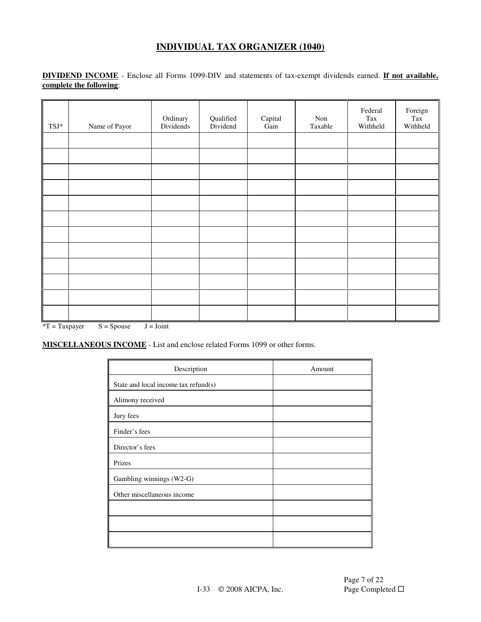**DIVIDEND INCOME** - Enclose all Forms 1099-DIV and statements of tax-exempt dividends earned. **If not available, complete the following**:

| $\ensuremath{\mathsf{T}}\ensuremath{\mathsf{S}}\ensuremath{\mathsf{J}}^*$ | Name of Payor | Ordinary<br>Dividends | Qualified<br>Dividend | ${\bf Capital}$<br>Gain | Non<br>Taxable | Federal<br>Tax<br>Withheld | Foreign<br>Tax<br>Withheld |
|---------------------------------------------------------------------------|---------------|-----------------------|-----------------------|-------------------------|----------------|----------------------------|----------------------------|
|                                                                           |               |                       |                       |                         |                |                            |                            |
|                                                                           |               |                       |                       |                         |                |                            |                            |
|                                                                           |               |                       |                       |                         |                |                            |                            |
|                                                                           |               |                       |                       |                         |                |                            |                            |
|                                                                           |               |                       |                       |                         |                |                            |                            |
|                                                                           |               |                       |                       |                         |                |                            |                            |
|                                                                           |               |                       |                       |                         |                |                            |                            |
|                                                                           |               |                       |                       |                         |                |                            |                            |
|                                                                           |               |                       |                       |                         |                |                            |                            |
|                                                                           |               |                       |                       |                         |                |                            |                            |
|                                                                           |               |                       |                       |                         |                |                            |                            |
|                                                                           |               |                       |                       |                         |                |                            |                            |

 $*T = Taxpayer$   $S = Spouse$   $J = Joint$ 

**MISCELLANEOUS INCOME** - List and enclose related Forms 1099 or other forms.

| Description                          | Amount |
|--------------------------------------|--------|
| State and local income tax refund(s) |        |
| Alimony received                     |        |
| Jury fees                            |        |
| Finder's fees                        |        |
| Director's fees                      |        |
| Prizes                               |        |
| Gambling winnings (W2-G)             |        |
| Other miscellaneous income           |        |
|                                      |        |
|                                      |        |
|                                      |        |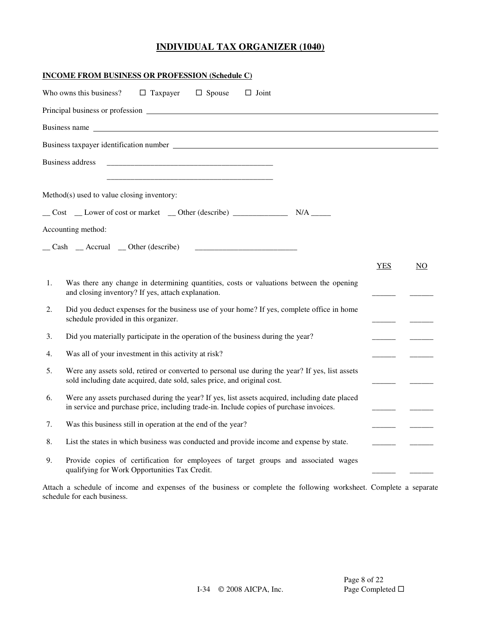|    | <b>INCOME FROM BUSINESS OR PROFESSION (Schedule C)</b>                                                                                                                                    |            |     |
|----|-------------------------------------------------------------------------------------------------------------------------------------------------------------------------------------------|------------|-----|
|    | $\Box$ Spouse<br>$\Box$ Joint<br>Who owns this business?<br>$\Box$ Taxpayer                                                                                                               |            |     |
|    |                                                                                                                                                                                           |            |     |
|    |                                                                                                                                                                                           |            |     |
|    |                                                                                                                                                                                           |            |     |
|    | <b>Business address</b>                                                                                                                                                                   |            |     |
|    |                                                                                                                                                                                           |            |     |
|    | Method(s) used to value closing inventory:                                                                                                                                                |            |     |
|    |                                                                                                                                                                                           |            |     |
|    | Accounting method:                                                                                                                                                                        |            |     |
|    | $\Box$ Cash $\Box$ Accrual $\Box$ Other (describe)                                                                                                                                        |            |     |
|    |                                                                                                                                                                                           | <b>YES</b> | NO. |
| 1. | Was there any change in determining quantities, costs or valuations between the opening<br>and closing inventory? If yes, attach explanation.                                             |            |     |
| 2. | Did you deduct expenses for the business use of your home? If yes, complete office in home<br>schedule provided in this organizer.                                                        |            |     |
| 3. | Did you materially participate in the operation of the business during the year?                                                                                                          |            |     |
| 4. | Was all of your investment in this activity at risk?                                                                                                                                      |            |     |
| 5. | Were any assets sold, retired or converted to personal use during the year? If yes, list assets<br>sold including date acquired, date sold, sales price, and original cost.               |            |     |
| 6. | Were any assets purchased during the year? If yes, list assets acquired, including date placed<br>in service and purchase price, including trade-in. Include copies of purchase invoices. |            |     |
| 7. | Was this business still in operation at the end of the year?                                                                                                                              |            |     |
| 8. | List the states in which business was conducted and provide income and expense by state.                                                                                                  |            |     |
| 9. | Provide copies of certification for employees of target groups and associated wages<br>qualifying for Work Opportunities Tax Credit.                                                      |            |     |

Attach a schedule of income and expenses of the business or complete the following worksheet. Complete a separate schedule for each business.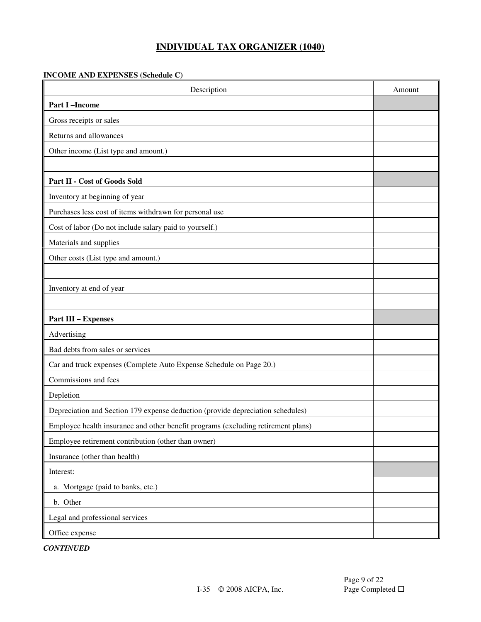### **INCOME AND EXPENSES (Schedule C)**

| Description                                                                       | Amount |
|-----------------------------------------------------------------------------------|--------|
| <b>Part I-Income</b>                                                              |        |
| Gross receipts or sales                                                           |        |
| Returns and allowances                                                            |        |
| Other income (List type and amount.)                                              |        |
|                                                                                   |        |
| Part II - Cost of Goods Sold                                                      |        |
| Inventory at beginning of year                                                    |        |
| Purchases less cost of items withdrawn for personal use                           |        |
| Cost of labor (Do not include salary paid to yourself.)                           |        |
| Materials and supplies                                                            |        |
| Other costs (List type and amount.)                                               |        |
|                                                                                   |        |
| Inventory at end of year                                                          |        |
|                                                                                   |        |
| <b>Part III - Expenses</b>                                                        |        |
| Advertising                                                                       |        |
| Bad debts from sales or services                                                  |        |
| Car and truck expenses (Complete Auto Expense Schedule on Page 20.)               |        |
| Commissions and fees                                                              |        |
| Depletion                                                                         |        |
| Depreciation and Section 179 expense deduction (provide depreciation schedules)   |        |
| Employee health insurance and other benefit programs (excluding retirement plans) |        |
| Employee retirement contribution (other than owner)                               |        |
| Insurance (other than health)                                                     |        |
| Interest:                                                                         |        |
| a. Mortgage (paid to banks, etc.)                                                 |        |
| b. Other                                                                          |        |
| Legal and professional services                                                   |        |
| Office expense                                                                    |        |

*CONTINUED*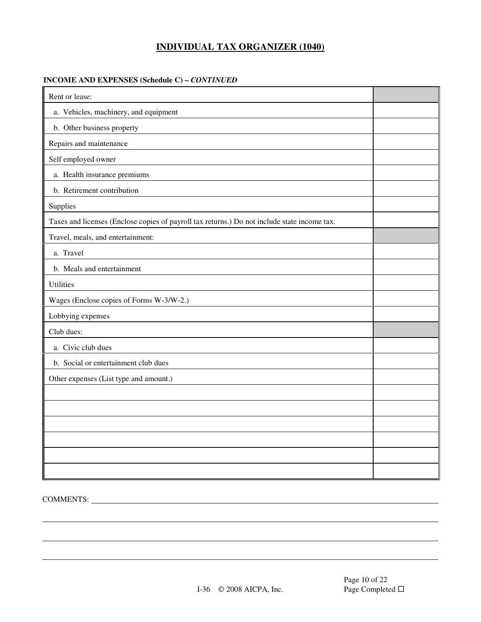#### **INCOME AND EXPENSES (Schedule C) –** *CONTINUED*

| Rent or lease:                                                                               |  |
|----------------------------------------------------------------------------------------------|--|
| a. Vehicles, machinery, and equipment                                                        |  |
| b. Other business property                                                                   |  |
| Repairs and maintenance                                                                      |  |
| Self employed owner                                                                          |  |
| a. Health insurance premiums                                                                 |  |
| b. Retirement contribution                                                                   |  |
| Supplies                                                                                     |  |
| Taxes and licenses (Enclose copies of payroll tax returns.) Do not include state income tax. |  |
| Travel, meals, and entertainment:                                                            |  |
| a. Travel                                                                                    |  |
| b. Meals and entertainment                                                                   |  |
| <b>Utilities</b>                                                                             |  |
| Wages (Enclose copies of Forms W-3/W-2.)                                                     |  |
| Lobbying expenses                                                                            |  |
| Club dues:                                                                                   |  |
| a. Civic club dues                                                                           |  |
| b. Social or entertainment club dues                                                         |  |
| Other expenses (List type and amount.)                                                       |  |
|                                                                                              |  |
|                                                                                              |  |
|                                                                                              |  |
|                                                                                              |  |
|                                                                                              |  |
|                                                                                              |  |

# COMMENTS: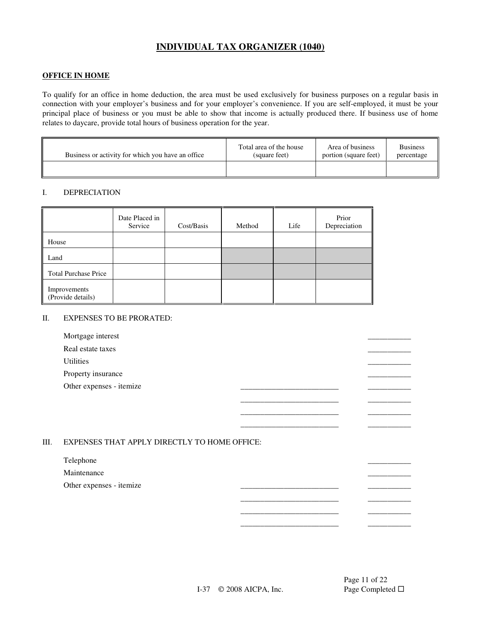#### **OFFICE IN HOME**

To qualify for an office in home deduction, the area must be used exclusively for business purposes on a regular basis in connection with your employer's business and for your employer's convenience. If you are self-employed, it must be your principal place of business or you must be able to show that income is actually produced there. If business use of home relates to daycare, provide total hours of business operation for the year.

| Business or activity for which you have an office | Total area of the house | Area of business      | <b>Business</b> |
|---------------------------------------------------|-------------------------|-----------------------|-----------------|
|                                                   | (square feet)           | portion (square feet) | percentage      |
|                                                   |                         |                       |                 |

#### I. DEPRECIATION

|                                   | Date Placed in<br>Service | Cost/Basis | Method | Life | Prior<br>Depreciation |
|-----------------------------------|---------------------------|------------|--------|------|-----------------------|
| House                             |                           |            |        |      |                       |
| Land                              |                           |            |        |      |                       |
| <b>Total Purchase Price</b>       |                           |            |        |      |                       |
| Improvements<br>(Provide details) |                           |            |        |      |                       |

#### II. EXPENSES TO BE PRORATED:

| Mortgage interest        |  |  |
|--------------------------|--|--|
| Real estate taxes        |  |  |
| Utilities                |  |  |
| Property insurance       |  |  |
| Other expenses - itemize |  |  |
|                          |  |  |
|                          |  |  |

\_\_\_\_\_\_\_\_\_\_\_\_\_\_\_\_\_\_\_\_\_\_\_\_\_ \_\_\_\_\_\_\_\_\_\_\_

 \_\_\_\_\_\_\_\_\_\_\_\_\_\_\_\_\_\_\_\_\_\_\_\_\_ \_\_\_\_\_\_\_\_\_\_\_  $\_$ \_\_\_\_\_\_\_\_\_\_\_\_\_\_\_\_\_\_\_\_\_\_\_\_\_ \_\_\_\_\_\_\_\_\_\_\_

#### III. EXPENSES THAT APPLY DIRECTLY TO HOME OFFICE:

#### Telephone \_\_\_\_\_\_\_\_\_\_\_

Maintenance **and the set of the set of the set of the set of the set of the set of the set of the set of the set of the set of the set of the set of the set of the set of the set of the set of the set of the set of the set** 

Other expenses - itemize

Page 11 of 22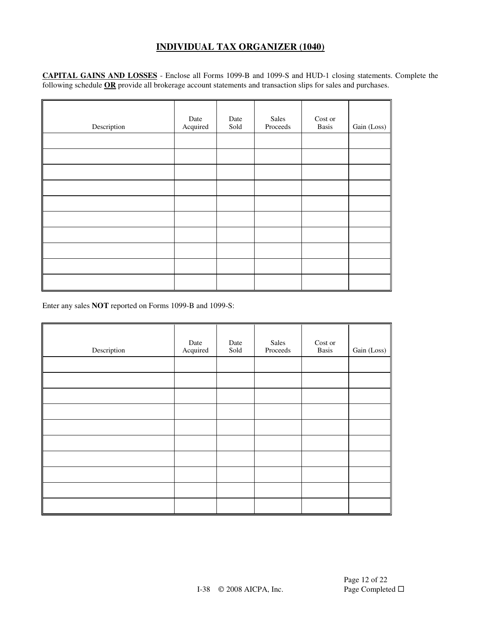**CAPITAL GAINS AND LOSSES** - Enclose all Forms 1099-B and 1099-S and HUD-1 closing statements. Complete the following schedule **OR** provide all brokerage account statements and transaction slips for sales and purchases.

| Description | Date<br>Acquired | Date<br>Sold | Sales<br>Proceeds | Cost or<br>Basis | Gain (Loss) |
|-------------|------------------|--------------|-------------------|------------------|-------------|
|             |                  |              |                   |                  |             |
|             |                  |              |                   |                  |             |
|             |                  |              |                   |                  |             |
|             |                  |              |                   |                  |             |
|             |                  |              |                   |                  |             |
|             |                  |              |                   |                  |             |
|             |                  |              |                   |                  |             |
|             |                  |              |                   |                  |             |
|             |                  |              |                   |                  |             |
|             |                  |              |                   |                  |             |

Enter any sales **NOT** reported on Forms 1099-B and 1099-S:

| Description | Date<br>Acquired | Date<br>Sold | Sales<br>Proceeds | Cost or<br><b>Basis</b> | Gain (Loss) |
|-------------|------------------|--------------|-------------------|-------------------------|-------------|
|             |                  |              |                   |                         |             |
|             |                  |              |                   |                         |             |
|             |                  |              |                   |                         |             |
|             |                  |              |                   |                         |             |
|             |                  |              |                   |                         |             |
|             |                  |              |                   |                         |             |
|             |                  |              |                   |                         |             |
|             |                  |              |                   |                         |             |
|             |                  |              |                   |                         |             |
|             |                  |              |                   |                         |             |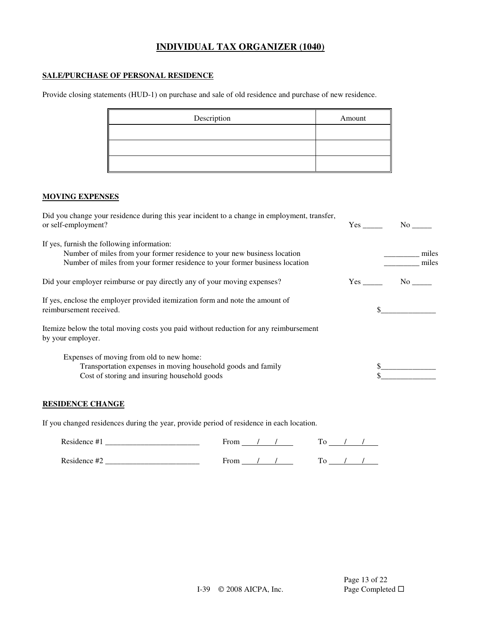### **SALE/PURCHASE OF PERSONAL RESIDENCE**

Provide closing statements (HUD-1) on purchase and sale of old residence and purchase of new residence.

| Description | Amount |
|-------------|--------|
|             |        |
|             |        |
|             |        |

#### **MOVING EXPENSES**

| Did you change your residence during this year incident to a change in employment, transfer,<br>or self-employment?                                                                                   | Yes | $\rm No$ |       |
|-------------------------------------------------------------------------------------------------------------------------------------------------------------------------------------------------------|-----|----------|-------|
| If yes, furnish the following information:<br>Number of miles from your former residence to your new business location<br>Number of miles from your former residence to your former business location |     | miles    | miles |
| Did your employer reimburse or pay directly any of your moving expenses?                                                                                                                              | Yes | No no    |       |
| If yes, enclose the employer provided itemization form and note the amount of<br>reimbursement received.                                                                                              |     |          |       |
| Itemize below the total moving costs you paid without reduction for any reimbursement<br>by your employer.                                                                                            |     |          |       |
| Expenses of moving from old to new home:<br>Transportation expenses in moving household goods and family<br>Cost of storing and insuring household goods                                              |     |          |       |

### **RESIDENCE CHANGE**

If you changed residences during the year, provide period of residence in each location.

| Residence #1 | From |  |
|--------------|------|--|
| Residence #2 |      |  |
|              | From |  |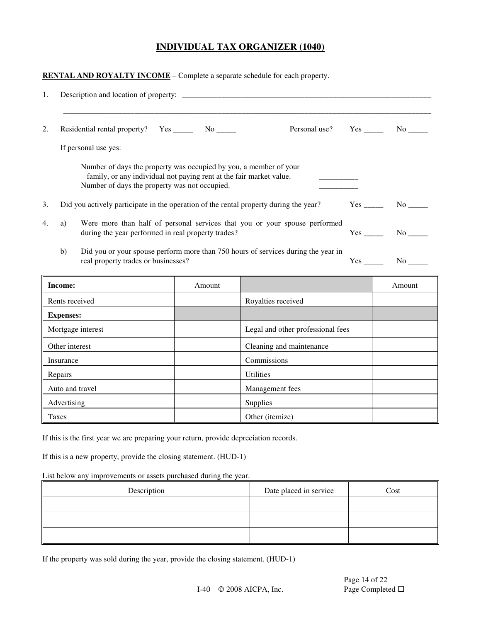**RENTAL AND ROYALTY INCOME** – Complete a separate schedule for each property.

| 1. |                  |                                                                                                                                                                                           |        |                                                                                       |               |
|----|------------------|-------------------------------------------------------------------------------------------------------------------------------------------------------------------------------------------|--------|---------------------------------------------------------------------------------------|---------------|
| 2. |                  | Residential rental property? Yes ________ No ______                                                                                                                                       |        | Personal use?                                                                         |               |
|    |                  | If personal use yes:                                                                                                                                                                      |        |                                                                                       |               |
|    |                  | Number of days the property was occupied by you, a member of your<br>family, or any individual not paying rent at the fair market value.<br>Number of days the property was not occupied. |        |                                                                                       |               |
| 3. |                  |                                                                                                                                                                                           |        | Did you actively participate in the operation of the rental property during the year? |               |
| 4. | a)               | during the year performed in real property trades?                                                                                                                                        |        | Were more than half of personal services that you or your spouse performed            | $Yes$ No $No$ |
|    | b)               | real property trades or businesses?                                                                                                                                                       |        | Did you or your spouse perform more than 750 hours of services during the year in     | $Yes$ No $No$ |
|    | Income:          |                                                                                                                                                                                           | Amount |                                                                                       | Amount        |
|    |                  | Rents received                                                                                                                                                                            |        | Royalties received                                                                    |               |
|    | <b>Expenses:</b> |                                                                                                                                                                                           |        |                                                                                       |               |
|    |                  | Mortgage interest                                                                                                                                                                         |        | Legal and other professional fees                                                     |               |
|    | Other interest   |                                                                                                                                                                                           |        | Cleaning and maintenance                                                              |               |
|    | Insurance        |                                                                                                                                                                                           |        | Commissions                                                                           |               |
|    | Repairs          |                                                                                                                                                                                           |        | <b>Utilities</b>                                                                      |               |
|    |                  | Auto and travel                                                                                                                                                                           |        | Management fees                                                                       |               |
|    | Advertising      |                                                                                                                                                                                           |        | Supplies                                                                              |               |
|    | Taxes            |                                                                                                                                                                                           |        | Other (itemize)                                                                       |               |

If this is the first year we are preparing your return, provide depreciation records.

If this is a new property, provide the closing statement. (HUD-1)

List below any improvements or assets purchased during the year.

| Description | Date placed in service | Cost |
|-------------|------------------------|------|
|             |                        |      |
|             |                        |      |
|             |                        |      |

If the property was sold during the year, provide the closing statement. (HUD-1)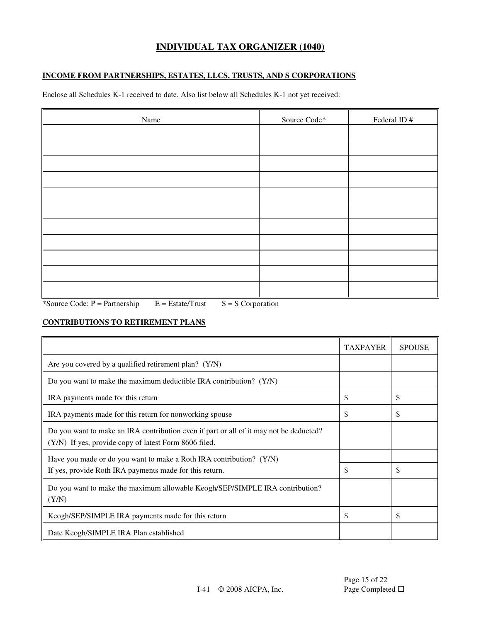### **INCOME FROM PARTNERSHIPS, ESTATES, LLCS, TRUSTS, AND S CORPORATIONS**

Enclose all Schedules K-1 received to date. Also list below all Schedules K-1 not yet received:

| Name | Source Code* | Federal ID# |
|------|--------------|-------------|
|      |              |             |
|      |              |             |
|      |              |             |
|      |              |             |
|      |              |             |
|      |              |             |
|      |              |             |
|      |              |             |
|      |              |             |
|      |              |             |
|      |              |             |

\*Source Code:  $P =$  Partnership  $E =$  Estate/Trust  $S = S$  Corporation

### **CONTRIBUTIONS TO RETIREMENT PLANS**

|                                                                                                                                                 | <b>TAXPAYER</b> | <b>SPOUSE</b> |
|-------------------------------------------------------------------------------------------------------------------------------------------------|-----------------|---------------|
| Are you covered by a qualified retirement plan? (Y/N)                                                                                           |                 |               |
| Do you want to make the maximum deductible IRA contribution? $(Y/N)$                                                                            |                 |               |
| IRA payments made for this return                                                                                                               | \$              | \$            |
| IRA payments made for this return for nonworking spouse                                                                                         | \$              | S             |
| Do you want to make an IRA contribution even if part or all of it may not be deducted?<br>(Y/N) If yes, provide copy of latest Form 8606 filed. |                 |               |
| Have you made or do you want to make a Roth IRA contribution? (Y/N)<br>If yes, provide Roth IRA payments made for this return.                  | \$              | S             |
| Do you want to make the maximum allowable Keogh/SEP/SIMPLE IRA contribution?<br>(Y/N)                                                           |                 |               |
| Keogh/SEP/SIMPLE IRA payments made for this return                                                                                              | \$              | \$            |
| Date Keogh/SIMPLE IRA Plan established                                                                                                          |                 |               |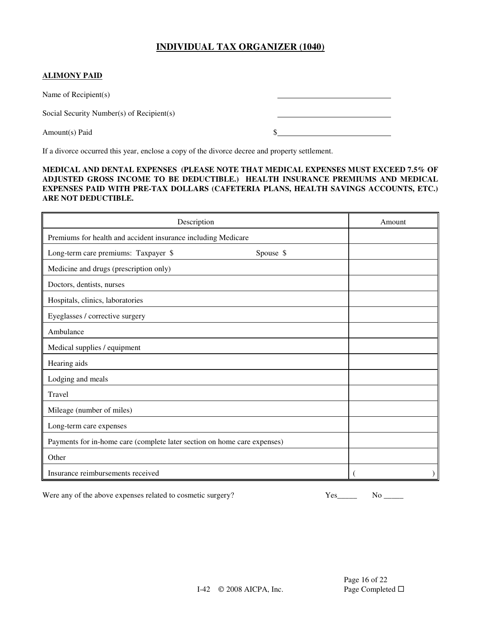### **ALIMONY PAID**

Name of Recipient(s)

Social Security Number(s) of Recipient(s)

Amount(s) Paid  $\frac{1}{2}$  **S** 

If a divorce occurred this year, enclose a copy of the divorce decree and property settlement.

#### **MEDICAL AND DENTAL EXPENSES (PLEASE NOTE THAT MEDICAL EXPENSES MUST EXCEED 7.5% OF ADJUSTED GROSS INCOME TO BE DEDUCTIBLE.) HEALTH INSURANCE PREMIUMS AND MEDICAL EXPENSES PAID WITH PRE-TAX DOLLARS (CAFETERIA PLANS, HEALTH SAVINGS ACCOUNTS, ETC.) ARE NOT DEDUCTIBLE.**

| Description                                                              |           | Amount |
|--------------------------------------------------------------------------|-----------|--------|
| Premiums for health and accident insurance including Medicare            |           |        |
| Long-term care premiums: Taxpayer \$                                     | Spouse \$ |        |
| Medicine and drugs (prescription only)                                   |           |        |
| Doctors, dentists, nurses                                                |           |        |
| Hospitals, clinics, laboratories                                         |           |        |
| Eyeglasses / corrective surgery                                          |           |        |
| Ambulance                                                                |           |        |
| Medical supplies / equipment                                             |           |        |
| Hearing aids                                                             |           |        |
| Lodging and meals                                                        |           |        |
| Travel                                                                   |           |        |
| Mileage (number of miles)                                                |           |        |
| Long-term care expenses                                                  |           |        |
| Payments for in-home care (complete later section on home care expenses) |           |        |
| Other                                                                    |           |        |
| Insurance reimbursements received                                        |           |        |

Were any of the above expenses related to cosmetic surgery?  $\begin{array}{ccc} \text{Yes} & \text{Yes} & \text{No} \end{array}$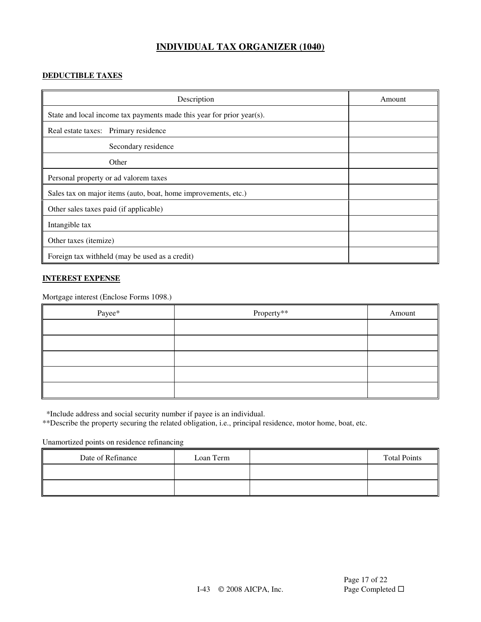### **DEDUCTIBLE TAXES**

| Description                                                           | Amount |
|-----------------------------------------------------------------------|--------|
| State and local income tax payments made this year for prior year(s). |        |
| Real estate taxes: Primary residence                                  |        |
| Secondary residence                                                   |        |
| Other                                                                 |        |
| Personal property or ad valorem taxes                                 |        |
| Sales tax on major items (auto, boat, home improvements, etc.)        |        |
| Other sales taxes paid (if applicable)                                |        |
| Intangible tax                                                        |        |
| Other taxes ( <i>itemize</i> )                                        |        |
| Foreign tax withheld (may be used as a credit)                        |        |

### **INTEREST EXPENSE**

Mortgage interest (Enclose Forms 1098.)

| Payee* | Property** | Amount |
|--------|------------|--------|
|        |            |        |
|        |            |        |
|        |            |        |
|        |            |        |
|        |            |        |

\*Include address and social security number if payee is an individual.

\*\*Describe the property securing the related obligation, i.e., principal residence, motor home, boat, etc.

Unamortized points on residence refinancing

| Date of Refinance | Loan Term | <b>Total Points</b> |
|-------------------|-----------|---------------------|
|                   |           |                     |
|                   |           |                     |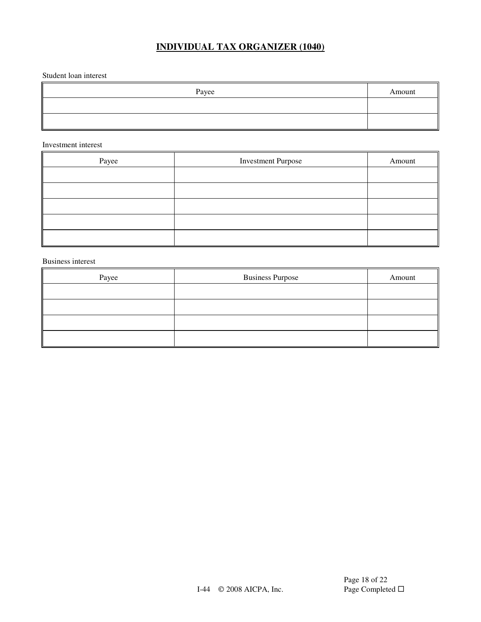Student loan interest

| Payee | Amount |
|-------|--------|
|       |        |
|       |        |

#### Investment interest

| Payee | <b>Investment Purpose</b> | Amount |
|-------|---------------------------|--------|
|       |                           |        |
|       |                           |        |
|       |                           |        |
|       |                           |        |
|       |                           |        |

Business interest

| Payee | <b>Business Purpose</b> | Amount |
|-------|-------------------------|--------|
|       |                         |        |
|       |                         |        |
|       |                         |        |
|       |                         |        |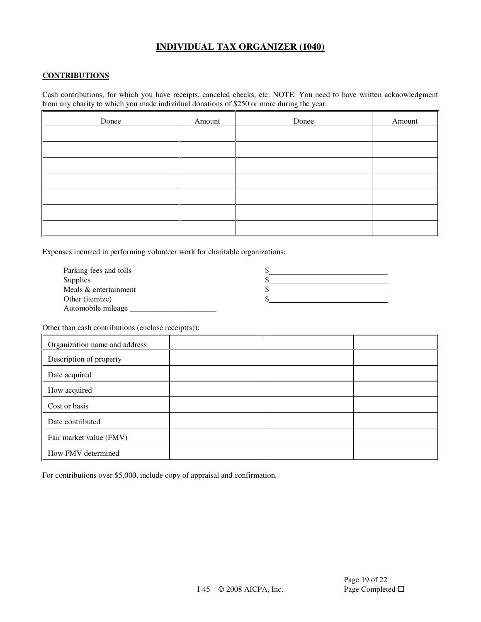### **CONTRIBUTIONS**

Cash contributions, for which you have receipts, canceled checks, etc. NOTE: You need to have written acknowledgment from any charity to which you made individual donations of \$250 or more during the year.

| Donee | Amount | Donee | Amount |
|-------|--------|-------|--------|
|       |        |       |        |
|       |        |       |        |
|       |        |       |        |
|       |        |       |        |
|       |        |       |        |
|       |        |       |        |
|       |        |       |        |

Expenses incurred in performing volunteer work for charitable organizations:

| Parking fees and tolls   |  |
|--------------------------|--|
| <b>Supplies</b>          |  |
| Meals & entertainment    |  |
| Other ( <i>itemize</i> ) |  |
| Automobile mileage       |  |

Other than cash contributions (enclose receipt(s)):

| Organization name and address |  |  |
|-------------------------------|--|--|
| Description of property       |  |  |
| Date acquired                 |  |  |
| How acquired                  |  |  |
| Cost or basis                 |  |  |
| Date contributed              |  |  |
| Fair market value (FMV)       |  |  |
| How FMV determined            |  |  |

For contributions over \$5,000, include copy of appraisal and confirmation.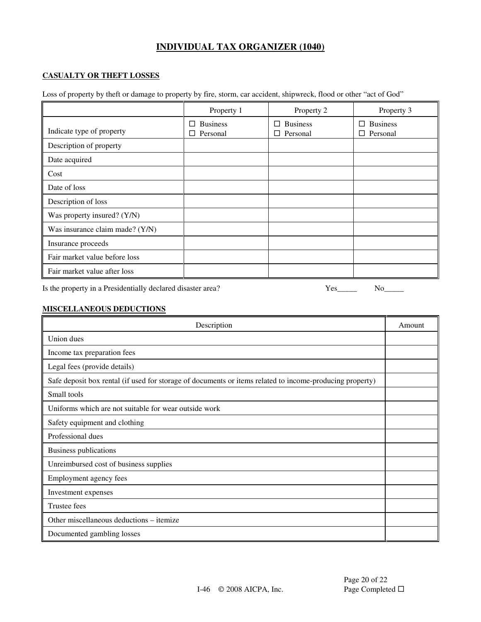### **CASUALTY OR THEFT LOSSES**

Loss of property by theft or damage to property by fire, storm, car accident, shipwreck, flood or other "act of God"

|                                 | Property 1                              | Property 2                         | Property 3                         |
|---------------------------------|-----------------------------------------|------------------------------------|------------------------------------|
| Indicate type of property       | <b>Business</b><br>П<br>$\Box$ Personal | $\Box$ Business<br>$\Box$ Personal | $\Box$ Business<br>$\Box$ Personal |
| Description of property         |                                         |                                    |                                    |
| Date acquired                   |                                         |                                    |                                    |
| Cost                            |                                         |                                    |                                    |
| Date of loss                    |                                         |                                    |                                    |
| Description of loss             |                                         |                                    |                                    |
| Was property insured? (Y/N)     |                                         |                                    |                                    |
| Was insurance claim made? (Y/N) |                                         |                                    |                                    |
| Insurance proceeds              |                                         |                                    |                                    |
| Fair market value before loss   |                                         |                                    |                                    |
| Fair market value after loss    |                                         |                                    |                                    |

Is the property in a Presidentially declared disaster area?  $Yes_{\_}$  No

#### **MISCELLANEOUS DEDUCTIONS**

| Description                                                                                              | Amount |
|----------------------------------------------------------------------------------------------------------|--------|
| Union dues                                                                                               |        |
| Income tax preparation fees                                                                              |        |
| Legal fees (provide details)                                                                             |        |
| Safe deposit box rental (if used for storage of documents or items related to income-producing property) |        |
| Small tools                                                                                              |        |
| Uniforms which are not suitable for wear outside work                                                    |        |
| Safety equipment and clothing                                                                            |        |
| Professional dues                                                                                        |        |
| Business publications                                                                                    |        |
| Unreimbursed cost of business supplies                                                                   |        |
| Employment agency fees                                                                                   |        |
| Investment expenses                                                                                      |        |
| Trustee fees                                                                                             |        |
| Other miscellaneous deductions – itemize                                                                 |        |
| Documented gambling losses                                                                               |        |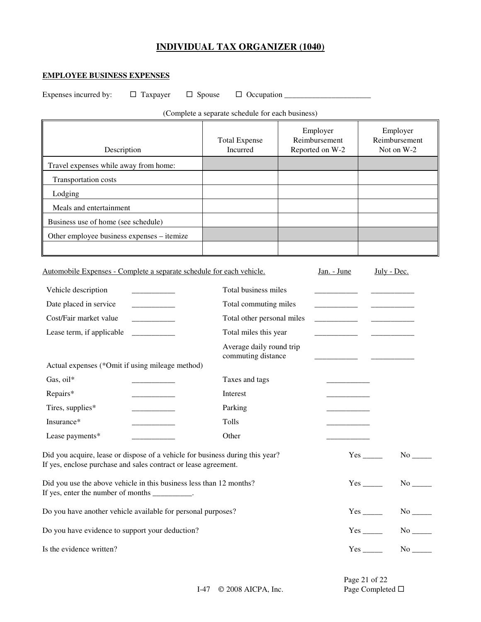### **EMPLOYEE BUSINESS EXPENSES**

Expenses incurred by: Taxpayer Spouse Occupation \_\_\_\_\_\_\_\_\_\_\_\_\_\_\_\_\_\_\_\_\_\_

 $\overline{a}$ 

(Complete a separate schedule for each business)

| Description                                                                                                                                      | <b>Total Expense</b><br>Incurred               | Employer<br>Reimbursement<br>Reported on W-2 | Employer<br>Reimbursement<br>Not on W-2 |
|--------------------------------------------------------------------------------------------------------------------------------------------------|------------------------------------------------|----------------------------------------------|-----------------------------------------|
| Travel expenses while away from home:                                                                                                            |                                                |                                              |                                         |
| Transportation costs                                                                                                                             |                                                |                                              |                                         |
| Lodging                                                                                                                                          |                                                |                                              |                                         |
| Meals and entertainment                                                                                                                          |                                                |                                              |                                         |
| Business use of home (see schedule)                                                                                                              |                                                |                                              |                                         |
| Other employee business expenses - itemize                                                                                                       |                                                |                                              |                                         |
|                                                                                                                                                  |                                                |                                              |                                         |
| Automobile Expenses - Complete a separate schedule for each vehicle.                                                                             |                                                | <u>Jan. - June</u>                           | July - Dec.                             |
| Vehicle description<br>and the control of the                                                                                                    | Total business miles                           |                                              |                                         |
| Date placed in service                                                                                                                           | Total commuting miles                          | and the control of the con-                  |                                         |
| Cost/Fair market value                                                                                                                           | Total other personal miles                     |                                              |                                         |
| Lease term, if applicable                                                                                                                        | Total miles this year                          |                                              |                                         |
|                                                                                                                                                  | Average daily round trip<br>commuting distance |                                              |                                         |
| Actual expenses (*Omit if using mileage method)                                                                                                  |                                                |                                              |                                         |
| Gas, oil*                                                                                                                                        | Taxes and tags                                 |                                              |                                         |
| Repairs*                                                                                                                                         | Interest                                       |                                              |                                         |
| Tires, supplies*                                                                                                                                 | Parking                                        |                                              |                                         |
| Insurance*                                                                                                                                       | Tolls                                          |                                              |                                         |
| Lease payments*                                                                                                                                  | Other                                          |                                              |                                         |
| Did you acquire, lease or dispose of a vehicle for business during this year?<br>If yes, enclose purchase and sales contract or lease agreement. |                                                |                                              | $Yes$ <sub>_______</sub><br>No          |
| Did you use the above vehicle in this business less than 12 months?<br>If yes, enter the number of months __________.                            |                                                |                                              | $Yes$ No $No$                           |
| Do you have another vehicle available for personal purposes?                                                                                     |                                                |                                              | $Yes$ No $N$                            |
| Do you have evidence to support your deduction?                                                                                                  |                                                |                                              |                                         |
| Is the evidence written?                                                                                                                         |                                                |                                              | $Yes$ <sub>______</sub>                 |

I-47 © 2008 AICPA, Inc. Page Completed □